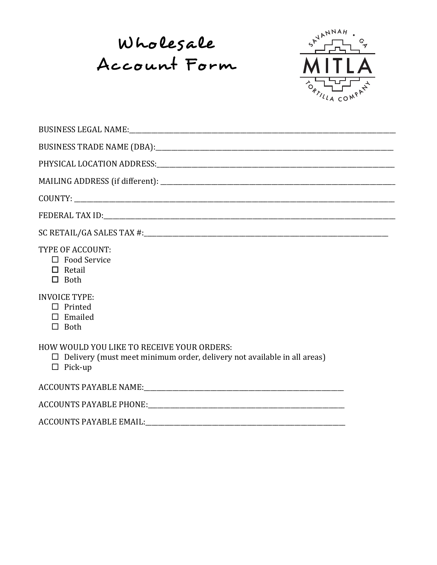Wholesale Account Form



| TYPE OF ACCOUNT:<br>$\Box$ Food Service<br>$\Box$ Retail<br>$\Box$ Both                                                                        |
|------------------------------------------------------------------------------------------------------------------------------------------------|
| <b>INVOICE TYPE:</b><br>$\Box$ Printed<br>$\square$ Emailed<br>$\Box$ Both                                                                     |
| HOW WOULD YOU LIKE TO RECEIVE YOUR ORDERS:<br>$\Box$ Delivery (must meet minimum order, delivery not available in all areas)<br>$\Box$ Pick-up |
|                                                                                                                                                |
|                                                                                                                                                |
|                                                                                                                                                |